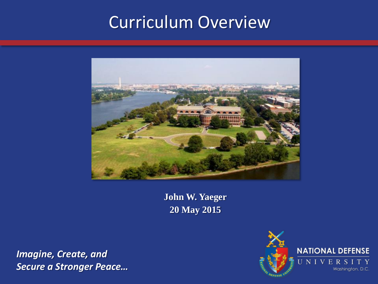## Curriculum Overview



**John W. Yaeger 20 May 2015**

*Imagine, Create, and Secure a Stronger Peace…*

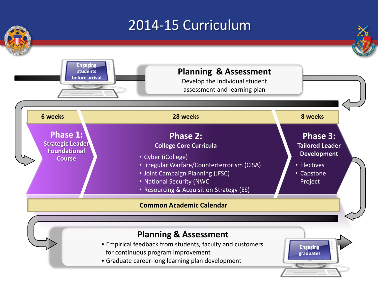## 2014-15 Curriculum